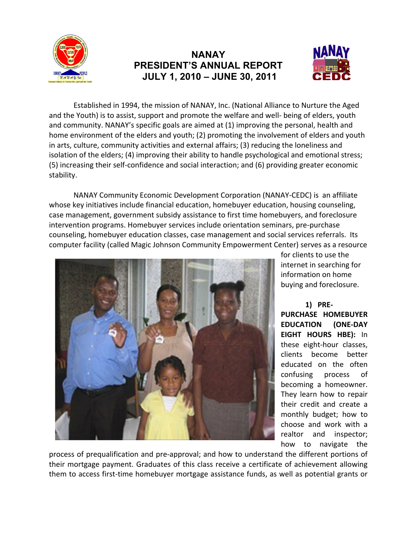

## **NANAY PRESIDENT'S ANNUAL REPORT JULY 1, 2010 – JUNE 30, 2011**



Established in 1994, the mission of NANAY, Inc. (National Alliance to Nurture the Aged and the Youth) is to assist, support and promote the welfare and well- being of elders, youth and community. NANAY's specific goals are aimed at (1) improving the personal, health and home environment of the elders and youth; (2) promoting the involvement of elders and youth in arts, culture, community activities and external affairs; (3) reducing the loneliness and isolation of the elders; (4) improving their ability to handle psychological and emotional stress; (5) increasing their self-confidence and social interaction; and (6) providing greater economic stability.

NANAY Community Economic Development Corporation (NANAY-CEDC) is an affiliate whose key initiatives include financial education, homebuyer education, housing counseling, case management, government subsidy assistance to first time homebuyers, and foreclosure intervention programs. Homebuyer services include orientation seminars, pre-purchase counseling, homebuyer education classes, case management and social services referrals. Its computer facility (called Magic Johnson Community Empowerment Center) serves as a resource



for clients to use the internet in searching for information on home buying and foreclosure.

**1) PRE-PURCHASE HOMEBUYER EDUCATION (ONE-DAY EIGHT HOURS HBE):** In these eight-hour classes, clients become better educated on the often confusing process of becoming a homeowner. They learn how to repair their credit and create a monthly budget; how to choose and work with a realtor and inspector; how to navigate the

process of prequalification and pre-approval; and how to understand the different portions of their mortgage payment. Graduates of this class receive a certificate of achievement allowing them to access first-time homebuyer mortgage assistance funds, as well as potential grants or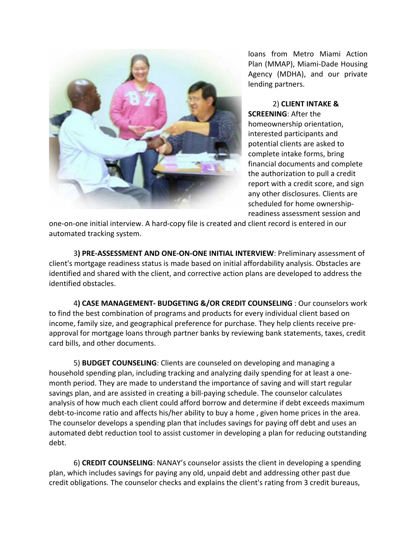

loans from Metro Miami Action Plan (MMAP), Miami-Dade Housing Agency (MDHA), and our private lending partners.

2) **CLIENT INTAKE & SCREENING**: After the homeownership orientation, interested participants and potential clients are asked to complete intake forms, bring financial documents and complete the authorization to pull a credit report with a credit score, and sign any other disclosures. Clients are scheduled for home ownershipreadiness assessment session and

one-on-one initial interview. A hard-copy file is created and client record is entered in our automated tracking system.

3**) PRE-ASSESSMENT AND ONE-ON-ONE INITIAL INTERVIEW**: Preliminary assessment of client's mortgage readiness status is made based on initial affordability analysis. Obstacles are identified and shared with the client, and corrective action plans are developed to address the identified obstacles.

4**) CASE MANAGEMENT- BUDGETING &/OR CREDIT COUNSELING** : Our counselors work to find the best combination of programs and products for every individual client based on income, family size, and geographical preference for purchase. They help clients receive preapproval for mortgage loans through partner banks by reviewing bank statements, taxes, credit card bills, and other documents.

5) **BUDGET COUNSELING**: Clients are counseled on developing and managing a household spending plan, including tracking and analyzing daily spending for at least a onemonth period. They are made to understand the importance of saving and will start regular savings plan, and are assisted in creating a bill-paying schedule. The counselor calculates analysis of how much each client could afford borrow and determine if debt exceeds maximum debt-to-income ratio and affects his/her ability to buy a home , given home prices in the area. The counselor develops a spending plan that includes savings for paying off debt and uses an automated debt reduction tool to assist customer in developing a plan for reducing outstanding debt.

6) **CREDIT COUNSELING**: NANAY's counselor assists the client in developing a spending plan, which includes savings for paying any old, unpaid debt and addressing other past due credit obligations. The counselor checks and explains the client's rating from 3 credit bureaus,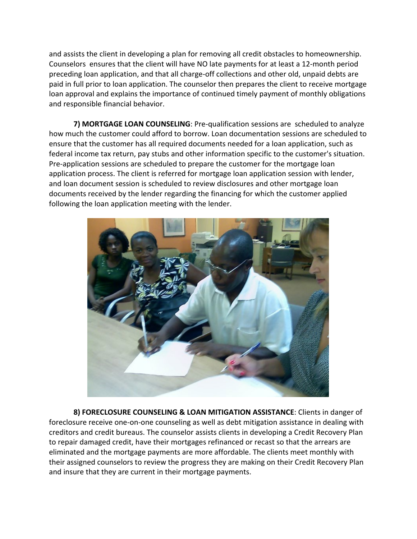and assists the client in developing a plan for removing all credit obstacles to homeownership. Counselors ensures that the client will have NO late payments for at least a 12-month period preceding loan application, and that all charge-off collections and other old, unpaid debts are paid in full prior to loan application. The counselor then prepares the client to receive mortgage loan approval and explains the importance of continued timely payment of monthly obligations and responsible financial behavior.

**7) MORTGAGE LOAN COUNSELING**: Pre-qualification sessions are scheduled to analyze how much the customer could afford to borrow. Loan documentation sessions are scheduled to ensure that the customer has all required documents needed for a loan application, such as federal income tax return, pay stubs and other information specific to the customer's situation. Pre-application sessions are scheduled to prepare the customer for the mortgage loan application process. The client is referred for mortgage loan application session with lender, and loan document session is scheduled to review disclosures and other mortgage loan documents received by the lender regarding the financing for which the customer applied following the loan application meeting with the lender.



**8) FORECLOSURE COUNSELING & LOAN MITIGATION ASSISTANCE**: Clients in danger of foreclosure receive one-on-one counseling as well as debt mitigation assistance in dealing with creditors and credit bureaus. The counselor assists clients in developing a Credit Recovery Plan to repair damaged credit, have their mortgages refinanced or recast so that the arrears are eliminated and the mortgage payments are more affordable. The clients meet monthly with their assigned counselors to review the progress they are making on their Credit Recovery Plan and insure that they are current in their mortgage payments.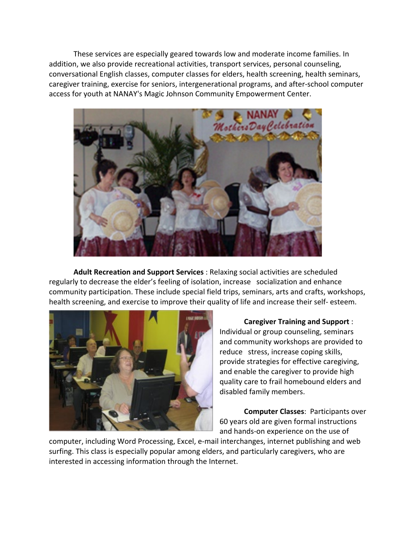These services are especially geared towards low and moderate income families. In addition, we also provide recreational activities, transport services, personal counseling, conversational English classes, computer classes for elders, health screening, health seminars, caregiver training, exercise for seniors, intergenerational programs, and after-school computer access for youth at NANAY's Magic Johnson Community Empowerment Center.



**Adult Recreation and Support Services** : Relaxing social activities are scheduled regularly to decrease the elder's feeling of isolation, increase socialization and enhance community participation. These include special field trips, seminars, arts and crafts, workshops, health screening, and exercise to improve their quality of life and increase their self- esteem.



**Caregiver Training and Support** : Individual or group counseling, seminars and community workshops are provided to reduce stress, increase coping skills, provide strategies for effective caregiving, and enable the caregiver to provide high quality care to frail homebound elders and disabled family members.

**Computer Classes**: Participants over 60 years old are given formal instructions and hands-on experience on the use of

computer, including Word Processing, Excel, e-mail interchanges, internet publishing and web surfing. This class is especially popular among elders, and particularly caregivers, who are interested in accessing information through the Internet.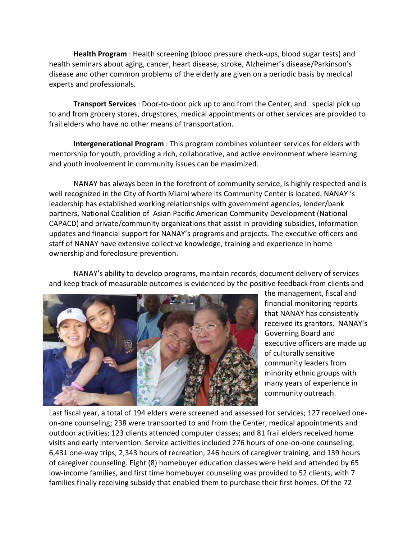**Health Program** : Health screening (blood pressure check-ups, blood sugar tests) and health seminars about aging, cancer, heart disease, stroke, Alzheimer's disease/Parkinson's disease and other common problems of the elderly are given on a periodic basis by medical experts and professionals.

**Transport Services** : Door-to-door pick up to and from the Center, and special pick up to and from grocery stores, drugstores, medical appointments or other services are provided to frail elders who have no other means of transportation.

**Intergenerational Program** : This program combines volunteer services for elders with mentorship for youth, providing a rich, collaborative, and active environment where learning and youth involvement in community issues can be maximized.

NANAY has always been in the forefront of community service, is highly respected and is well recognized in the City of North Miami where its Community Center is located. NANAY 's leadership has established working relationships with government agencies, lender/bank partners, National Coalition of Asian Pacific American Community Development (National CAPACD) and private/community organizations that assist in providing subsidies, information updates and financial support for NANAY's programs and projects. The executive officers and staff of NANAY have extensive collective knowledge, training and experience in home ownership and foreclosure prevention.

NANAY's ability to develop programs, maintain records, document delivery of services and keep track of measurable outcomes is evidenced by the positive feedback from clients and



the management, fiscal and financial monitoring reports that NANAY has consistently received its grantors. NANAY's Governing Board and executive officers are made up of culturally sensitive community leaders from minority ethnic groups with many years of experience in community outreach.

Last fiscal year, a total of 194 elders were screened and assessed for services; 127 received oneon-one counseling; 238 were transported to and from the Center, medical appointments and outdoor activities; 123 clients attended computer classes; and 81 frail elders received home visits and early intervention. Service activities included 276 hours of one-on-one counseling, 6,431 one-way trips, 2,343 hours of recreation, 246 hours of caregiver training, and 139 hours of caregiver counseling. Eight (8) homebuyer education classes were held and attended by 65 low-income families, and first time homebuyer counseling was provided to 52 clients, with 7 families finally receiving subsidy that enabled them to purchase their first homes. Of the 72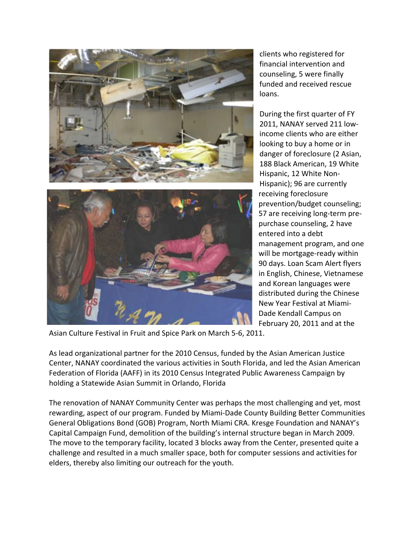

clients who registered for financial intervention and counseling, 5 were finally funded and received rescue loans.

During the first quarter of FY 2011, NANAY served 211 lowincome clients who are either looking to buy a home or in danger of foreclosure (2 Asian, 188 Black American, 19 White Hispanic, 12 White Non-Hispanic); 96 are currently receiving foreclosure prevention/budget counseling; 57 are receiving long-term prepurchase counseling, 2 have entered into a debt management program, and one will be mortgage-ready within 90 days. Loan Scam Alert flyers in English, Chinese, Vietnamese and Korean languages were distributed during the Chinese New Year Festival at Miami-Dade Kendall Campus on February 20, 2011 and at the

Asian Culture Festival in Fruit and Spice Park on March 5-6, 2011.

As lead organizational partner for the 2010 Census, funded by the Asian American Justice Center, NANAY coordinated the various activities in South Florida, and led the Asian American Federation of Florida (AAFF) in its 2010 Census Integrated Public Awareness Campaign by holding a Statewide Asian Summit in Orlando, Florida

The renovation of NANAY Community Center was perhaps the most challenging and yet, most rewarding, aspect of our program. Funded by Miami-Dade County Building Better Communities General Obligations Bond (GOB) Program, North Miami CRA. Kresge Foundation and NANAY's Capital Campaign Fund, demolition of the building's internal structure began in March 2009. The move to the temporary facility, located 3 blocks away from the Center, presented quite a challenge and resulted in a much smaller space, both for computer sessions and activities for elders, thereby also limiting our outreach for the youth.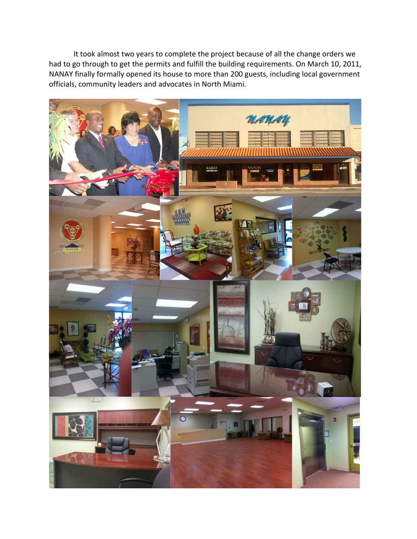It took almost two years to complete the project because of all the change orders we had to go through to get the permits and fulfill the building requirements. On March 10, 2011, NANAY finally formally opened its house to more than 200 guests, including local government officials, community leaders and advocates in North Miami.

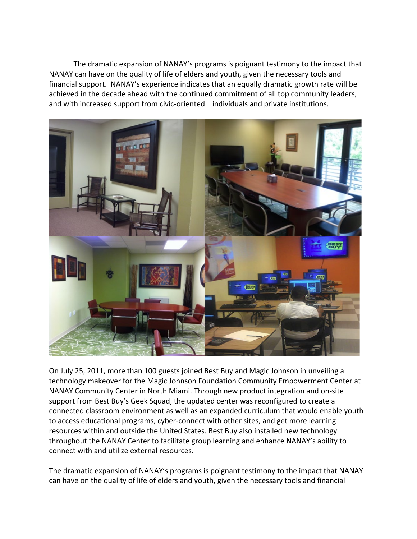The dramatic expansion of NANAY's programs is poignant testimony to the impact that NANAY can have on the quality of life of elders and youth, given the necessary tools and financial support. NANAY's experience indicates that an equally dramatic growth rate will be achieved in the decade ahead with the continued commitment of all top community leaders, and with increased support from civic-oriented individuals and private institutions.



On July 25, 2011, more than 100 guests joined Best Buy and Magic Johnson in unveiling a technology makeover for the Magic Johnson Foundation Community Empowerment Center at NANAY Community Center in North Miami. Through new product integration and on-site support from Best Buy's Geek Squad, the updated center was reconfigured to create a connected classroom environment as well as an expanded curriculum that would enable youth to access educational programs, cyber-connect with other sites, and get more learning resources within and outside the United States. Best Buy also installed new technology throughout the NANAY Center to facilitate group learning and enhance NANAY's ability to connect with and utilize external resources.

The dramatic expansion of NANAY's programs is poignant testimony to the impact that NANAY can have on the quality of life of elders and youth, given the necessary tools and financial